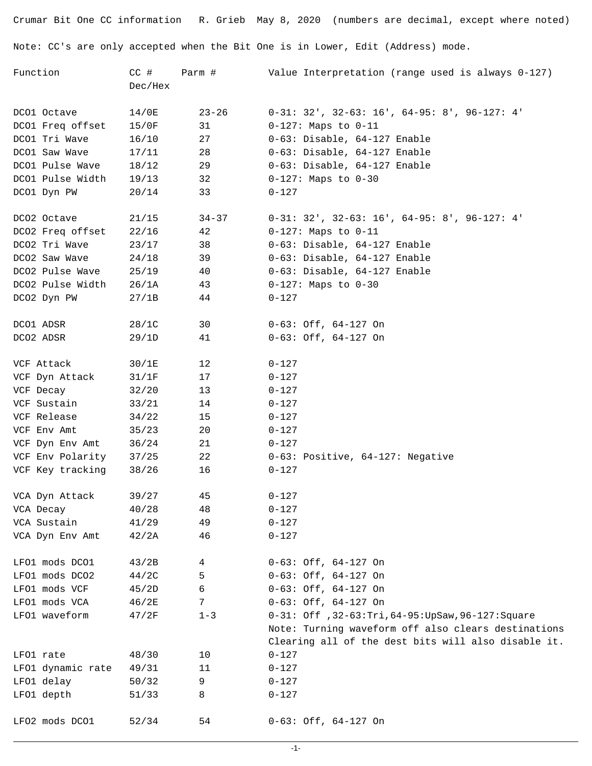Crumar Bit One CC information R. Grieb May 8, 2020 (numbers are decimal, except where noted) Note: CC's are only accepted when the Bit One is in Lower, Edit (Address) mode.

| Value Interpretation (range used is always 0-127)                                                          | Parm #    | $CC$ #  | Function                                     |
|------------------------------------------------------------------------------------------------------------|-----------|---------|----------------------------------------------|
|                                                                                                            |           | Dec/Hex |                                              |
| $0-31: 32'$ , $32-63: 16'$ , $64-95: 8'$ , $96-127: 4'$                                                    | $23 - 26$ | 14/0E   | DCO1 Octave                                  |
| $0-127$ : Maps to $0-11$                                                                                   | 31        | 15/0F   | DCO1 Freq offset                             |
| 0-63: Disable, 64-127 Enable                                                                               | 27        | 16/10   | DCO1 Tri Wave                                |
| 0-63: Disable, 64-127 Enable                                                                               | 28        | 17/11   | DCO1 Saw Wave                                |
| 0-63: Disable, 64-127 Enable                                                                               | 29        | 18/12   | DCO1 Pulse Wave                              |
| $0-127$ : Maps to $0-30$                                                                                   | 32        | 19/13   | DCO1 Pulse Width                             |
|                                                                                                            | 33        | 20/14   | DCO1 Dyn PW                                  |
| $0-31: 32'$ , $32-63: 16'$ , $64-95: 8'$ , $96-127: 4'$                                                    | $34 - 37$ | 21/15   | DCO2 Octave                                  |
| $0-127$ : Maps to $0-11$                                                                                   | 42        | 22/16   | DCO2 Freq offset                             |
| 0-63: Disable, 64-127 Enable                                                                               | 38        | 23/17   | DCO2 Tri Wave                                |
| 0-63: Disable, 64-127 Enable                                                                               | 39        | 24/18   | DCO2 Saw Wave                                |
| 0-63: Disable, 64-127 Enable                                                                               | 40        | 25/19   | DCO2 Pulse Wave                              |
| $0-127$ : Maps to $0-30$                                                                                   | 43        | 26/1A   | DCO2 Pulse Width                             |
|                                                                                                            | 44        | 27/1B   | DCO2 Dyn PW                                  |
| $0-63:$ Off, $64-127$ On                                                                                   | 30        | 28/1C   | DCO1 ADSR                                    |
| $0-63:$ Off, $64-127$ On                                                                                   | 41        | 29/1D   | DCO2 ADSR                                    |
|                                                                                                            | 12        | 30/1E   | VCF Attack                                   |
|                                                                                                            | 17        | 31/1F   | VCF Dyn Attack                               |
|                                                                                                            | 13        | 32/20   | VCF Decay                                    |
|                                                                                                            | 14        | 33/21   | VCF Sustain                                  |
|                                                                                                            | 15        | 34/22   | VCF Release                                  |
|                                                                                                            | 20        | 35/23   | VCF Env Amt                                  |
|                                                                                                            | 21        | 36/24   | VCF Dyn Env Amt                              |
| 0-63: Positive, 64-127: Negative                                                                           | 22        | 37/25   | VCF Env Polarity                             |
|                                                                                                            | 16        | 38/26   | VCF Key tracking                             |
|                                                                                                            | 45        | 39/27   | VCA Dyn Attack                               |
|                                                                                                            | 48        | 40/28   | VCA Decay                                    |
|                                                                                                            | 49        | 41/29   | VCA Sustain                                  |
|                                                                                                            | 46        | 42/2A   | VCA Dyn Env Amt                              |
| $0-63:$ Off, $64-127$ On                                                                                   | 4         | 43/2B   | LFO1 mods DCO1                               |
| $0-63:$ Off, $64-127$ On                                                                                   | 5         | 44/2C   | LFO1 mods DCO2                               |
| $0-63:$ Off, $64-127$ On                                                                                   | 6         | 45/2D   | LFO1 mods VCF                                |
| $0-63:$ Off, $64-127$ On                                                                                   | 7         | 46/2E   | LFO1 mods VCA                                |
| 0-31: Off , 32-63: Tri, 64-95: UpSaw, 96-127: Square                                                       | $1 - 3$   | 47/2F   | LFO1 waveform                                |
| Note: Turning waveform off also clears destinations<br>Clearing all of the dest bits will also disable it. |           |         |                                              |
|                                                                                                            | 10        | 48/30   |                                              |
|                                                                                                            | 11        |         |                                              |
|                                                                                                            | 9         | 50/32   |                                              |
|                                                                                                            | 8         | 51/33   | LFO1 depth                                   |
| $0-63:$ Off, $64-127$ On                                                                                   | 54        | 52/34   | LFO2 mods DCO1                               |
|                                                                                                            |           | 49/31   | LFO1 rate<br>LFO1 dynamic rate<br>LFO1 delay |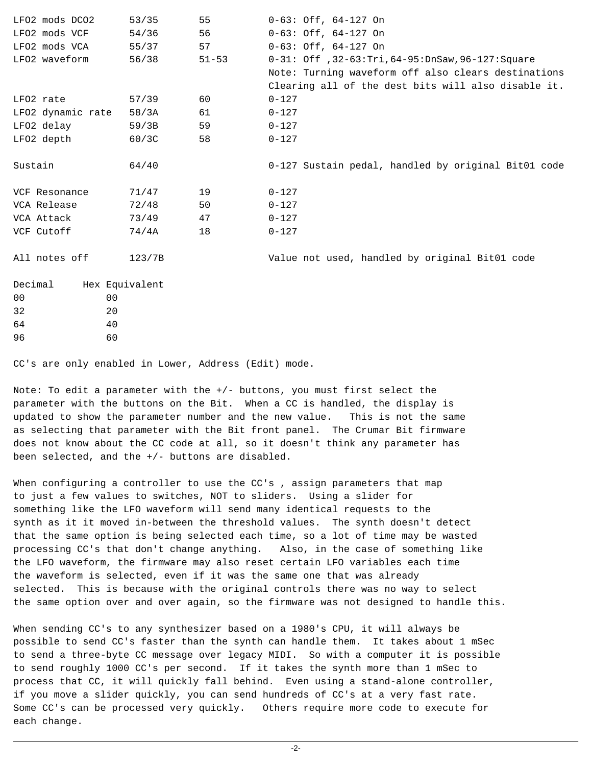| LFO2 mods DCO2    | 53/35          | 55        | $0-63:$ Off, $64-127$ On                             |
|-------------------|----------------|-----------|------------------------------------------------------|
| LFO2 mods VCF     | 54/36          | 56        | $0-63:$ Off, $64-127$ On                             |
| LFO2 mods VCA     | 55/37          | 57        | $0-63:$ Off, $64-127$ On                             |
| LFO2 waveform     | 56/38          | $51 - 53$ | 0-31: Off , 32-63: Tri, 64-95: DnSaw, 96-127: Square |
|                   |                |           | Note: Turning waveform off also clears destinations  |
|                   |                |           | Clearing all of the dest bits will also disable it.  |
| LFO2 rate         | 57/39          | 60        | $0 - 127$                                            |
| LFO2 dynamic rate | 58/3A          | 61        | $0 - 127$                                            |
| LFO2 delay        | 59/3B          | 59        | $0 - 127$                                            |
| LFO2 depth        | 60/3C          | 58        | $0 - 127$                                            |
|                   |                |           |                                                      |
| Sustain           | 64/40          |           | 0-127 Sustain pedal, handled by original Bit01 code  |
| VCF Resonance     | 71/47          | 19        | $0 - 127$                                            |
| VCA Release       | 72/48          | 50        | $0 - 127$                                            |
| VCA Attack        | 73/49          | 47        | $0 - 127$                                            |
| VCF Cutoff        | 74/4A          | 18        | $0 - 127$                                            |
| All notes off     | 123/7B         |           | Value not used, handled by original Bit01 code       |
| Decimal           | Hex Equivalent |           |                                                      |
| 00 <sup>o</sup>   | 0 <sub>0</sub> |           |                                                      |
| 32                | 20             |           |                                                      |
| 64                | 40             |           |                                                      |
| 96                | 60             |           |                                                      |
|                   |                |           |                                                      |

CC's are only enabled in Lower, Address (Edit) mode.

Note: To edit a parameter with the +/- buttons, you must first select the parameter with the buttons on the Bit. When a CC is handled, the display is updated to show the parameter number and the new value. This is not the same as selecting that parameter with the Bit front panel. The Crumar Bit firmware does not know about the CC code at all, so it doesn't think any parameter has been selected, and the +/- buttons are disabled.

When configuring a controller to use the CC's, assign parameters that map to just a few values to switches, NOT to sliders. Using a slider for something like the LFO waveform will send many identical requests to the synth as it it moved in-between the threshold values. The synth doesn't detect that the same option is being selected each time, so a lot of time may be wasted processing CC's that don't change anything. Also, in the case of something like the LFO waveform, the firmware may also reset certain LFO variables each time the waveform is selected, even if it was the same one that was already selected. This is because with the original controls there was no way to select the same option over and over again, so the firmware was not designed to handle this.

When sending CC's to any synthesizer based on a 1980's CPU, it will always be possible to send CC's faster than the synth can handle them. It takes about 1 mSec to send a three-byte CC message over legacy MIDI. So with a computer it is possible to send roughly 1000 CC's per second. If it takes the synth more than 1 mSec to process that CC, it will quickly fall behind. Even using a stand-alone controller, if you move a slider quickly, you can send hundreds of CC's at a very fast rate. Some CC's can be processed very quickly. Others require more code to execute for each change.